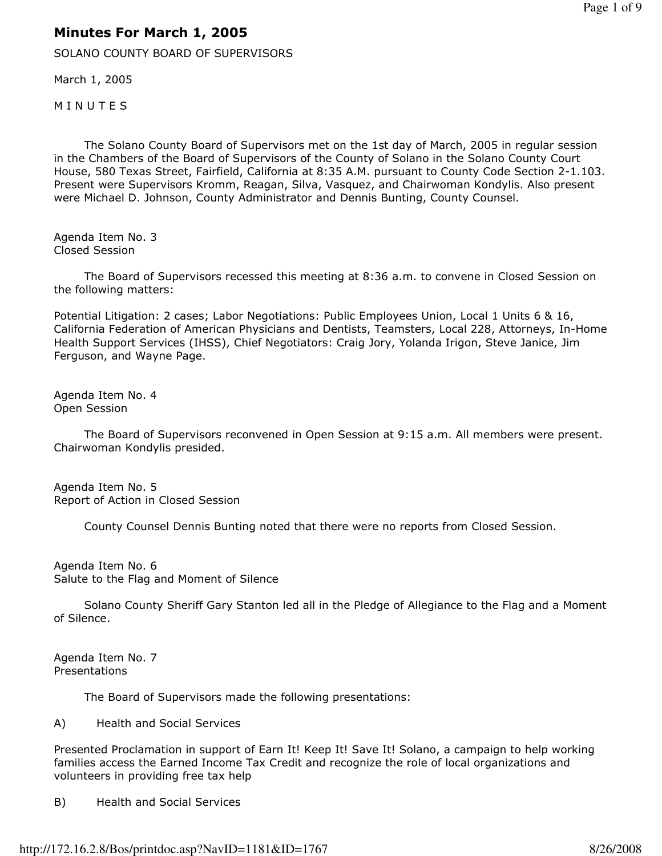# Minutes For March 1, 2005

SOLANO COUNTY BOARD OF SUPERVISORS

March 1, 2005

**MINUTES** 

 The Solano County Board of Supervisors met on the 1st day of March, 2005 in regular session in the Chambers of the Board of Supervisors of the County of Solano in the Solano County Court House, 580 Texas Street, Fairfield, California at 8:35 A.M. pursuant to County Code Section 2-1.103. Present were Supervisors Kromm, Reagan, Silva, Vasquez, and Chairwoman Kondylis. Also present were Michael D. Johnson, County Administrator and Dennis Bunting, County Counsel.

Agenda Item No. 3 Closed Session

 The Board of Supervisors recessed this meeting at 8:36 a.m. to convene in Closed Session on the following matters:

Potential Litigation: 2 cases; Labor Negotiations: Public Employees Union, Local 1 Units 6 & 16, California Federation of American Physicians and Dentists, Teamsters, Local 228, Attorneys, In-Home Health Support Services (IHSS), Chief Negotiators: Craig Jory, Yolanda Irigon, Steve Janice, Jim Ferguson, and Wayne Page.

Agenda Item No. 4 Open Session

 The Board of Supervisors reconvened in Open Session at 9:15 a.m. All members were present. Chairwoman Kondylis presided.

Agenda Item No. 5 Report of Action in Closed Session

County Counsel Dennis Bunting noted that there were no reports from Closed Session.

Agenda Item No. 6 Salute to the Flag and Moment of Silence

 Solano County Sheriff Gary Stanton led all in the Pledge of Allegiance to the Flag and a Moment of Silence.

Agenda Item No. 7 Presentations

The Board of Supervisors made the following presentations:

A) Health and Social Services

Presented Proclamation in support of Earn It! Keep It! Save It! Solano, a campaign to help working families access the Earned Income Tax Credit and recognize the role of local organizations and volunteers in providing free tax help

B) Health and Social Services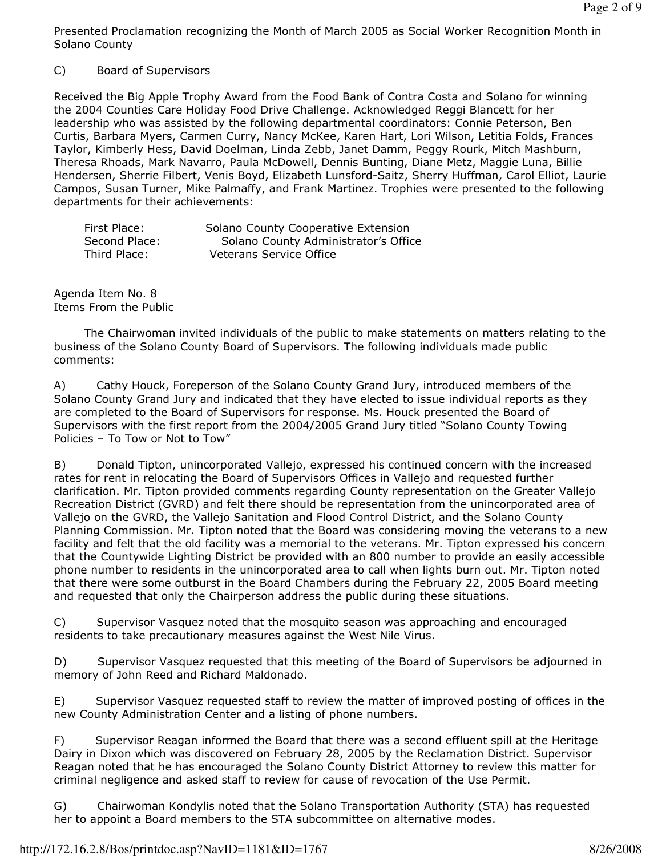Presented Proclamation recognizing the Month of March 2005 as Social Worker Recognition Month in Solano County

# C) Board of Supervisors

Received the Big Apple Trophy Award from the Food Bank of Contra Costa and Solano for winning the 2004 Counties Care Holiday Food Drive Challenge. Acknowledged Reggi Blancett for her leadership who was assisted by the following departmental coordinators: Connie Peterson, Ben Curtis, Barbara Myers, Carmen Curry, Nancy McKee, Karen Hart, Lori Wilson, Letitia Folds, Frances Taylor, Kimberly Hess, David Doelman, Linda Zebb, Janet Damm, Peggy Rourk, Mitch Mashburn, Theresa Rhoads, Mark Navarro, Paula McDowell, Dennis Bunting, Diane Metz, Maggie Luna, Billie Hendersen, Sherrie Filbert, Venis Boyd, Elizabeth Lunsford-Saitz, Sherry Huffman, Carol Elliot, Laurie Campos, Susan Turner, Mike Palmaffy, and Frank Martinez. Trophies were presented to the following departments for their achievements:

| First Place:  | Solano County Cooperative Extension  |
|---------------|--------------------------------------|
| Second Place: | Solano County Administrator's Office |
| Third Place:  | Veterans Service Office              |

Agenda Item No. 8 Items From the Public

 The Chairwoman invited individuals of the public to make statements on matters relating to the business of the Solano County Board of Supervisors. The following individuals made public comments:

A) Cathy Houck, Foreperson of the Solano County Grand Jury, introduced members of the Solano County Grand Jury and indicated that they have elected to issue individual reports as they are completed to the Board of Supervisors for response. Ms. Houck presented the Board of Supervisors with the first report from the 2004/2005 Grand Jury titled "Solano County Towing Policies – To Tow or Not to Tow"

B) Donald Tipton, unincorporated Vallejo, expressed his continued concern with the increased rates for rent in relocating the Board of Supervisors Offices in Vallejo and requested further clarification. Mr. Tipton provided comments regarding County representation on the Greater Vallejo Recreation District (GVRD) and felt there should be representation from the unincorporated area of Vallejo on the GVRD, the Vallejo Sanitation and Flood Control District, and the Solano County Planning Commission. Mr. Tipton noted that the Board was considering moving the veterans to a new facility and felt that the old facility was a memorial to the veterans. Mr. Tipton expressed his concern that the Countywide Lighting District be provided with an 800 number to provide an easily accessible phone number to residents in the unincorporated area to call when lights burn out. Mr. Tipton noted that there were some outburst in the Board Chambers during the February 22, 2005 Board meeting and requested that only the Chairperson address the public during these situations.

C) Supervisor Vasquez noted that the mosquito season was approaching and encouraged residents to take precautionary measures against the West Nile Virus.

D) Supervisor Vasquez requested that this meeting of the Board of Supervisors be adjourned in memory of John Reed and Richard Maldonado.

E) Supervisor Vasquez requested staff to review the matter of improved posting of offices in the new County Administration Center and a listing of phone numbers.

F) Supervisor Reagan informed the Board that there was a second effluent spill at the Heritage Dairy in Dixon which was discovered on February 28, 2005 by the Reclamation District. Supervisor Reagan noted that he has encouraged the Solano County District Attorney to review this matter for criminal negligence and asked staff to review for cause of revocation of the Use Permit.

G) Chairwoman Kondylis noted that the Solano Transportation Authority (STA) has requested her to appoint a Board members to the STA subcommittee on alternative modes.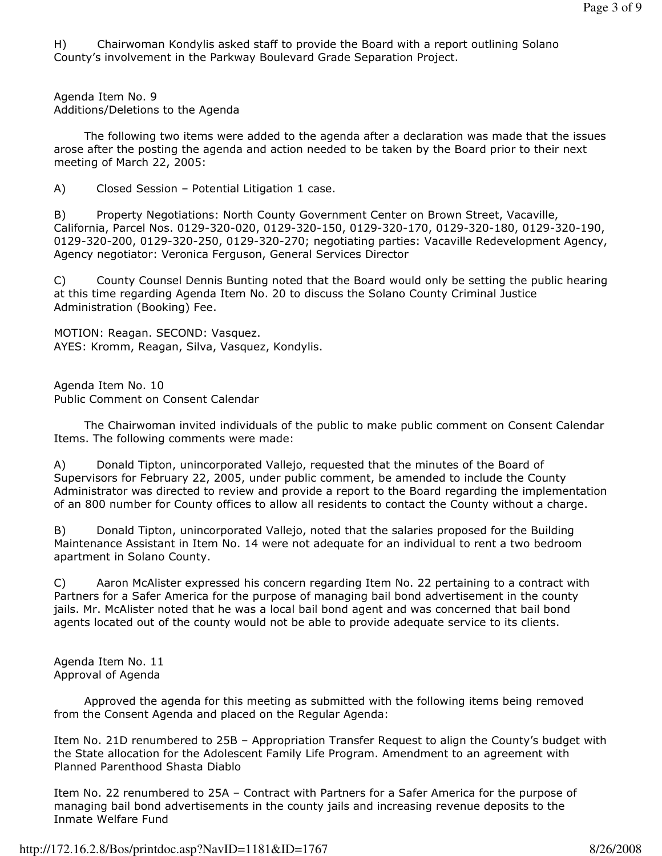H) Chairwoman Kondylis asked staff to provide the Board with a report outlining Solano County's involvement in the Parkway Boulevard Grade Separation Project.

Agenda Item No. 9 Additions/Deletions to the Agenda

 The following two items were added to the agenda after a declaration was made that the issues arose after the posting the agenda and action needed to be taken by the Board prior to their next meeting of March 22, 2005:

A) Closed Session – Potential Litigation 1 case.

B) Property Negotiations: North County Government Center on Brown Street, Vacaville, California, Parcel Nos. 0129-320-020, 0129-320-150, 0129-320-170, 0129-320-180, 0129-320-190, 0129-320-200, 0129-320-250, 0129-320-270; negotiating parties: Vacaville Redevelopment Agency, Agency negotiator: Veronica Ferguson, General Services Director

C) County Counsel Dennis Bunting noted that the Board would only be setting the public hearing at this time regarding Agenda Item No. 20 to discuss the Solano County Criminal Justice Administration (Booking) Fee.

MOTION: Reagan. SECOND: Vasquez. AYES: Kromm, Reagan, Silva, Vasquez, Kondylis.

Agenda Item No. 10 Public Comment on Consent Calendar

 The Chairwoman invited individuals of the public to make public comment on Consent Calendar Items. The following comments were made:

A) Donald Tipton, unincorporated Vallejo, requested that the minutes of the Board of Supervisors for February 22, 2005, under public comment, be amended to include the County Administrator was directed to review and provide a report to the Board regarding the implementation of an 800 number for County offices to allow all residents to contact the County without a charge.

B) Donald Tipton, unincorporated Vallejo, noted that the salaries proposed for the Building Maintenance Assistant in Item No. 14 were not adequate for an individual to rent a two bedroom apartment in Solano County.

C) Aaron McAlister expressed his concern regarding Item No. 22 pertaining to a contract with Partners for a Safer America for the purpose of managing bail bond advertisement in the county jails. Mr. McAlister noted that he was a local bail bond agent and was concerned that bail bond agents located out of the county would not be able to provide adequate service to its clients.

Agenda Item No. 11 Approval of Agenda

 Approved the agenda for this meeting as submitted with the following items being removed from the Consent Agenda and placed on the Regular Agenda:

Item No. 21D renumbered to 25B – Appropriation Transfer Request to align the County's budget with the State allocation for the Adolescent Family Life Program. Amendment to an agreement with Planned Parenthood Shasta Diablo

Item No. 22 renumbered to 25A – Contract with Partners for a Safer America for the purpose of managing bail bond advertisements in the county jails and increasing revenue deposits to the Inmate Welfare Fund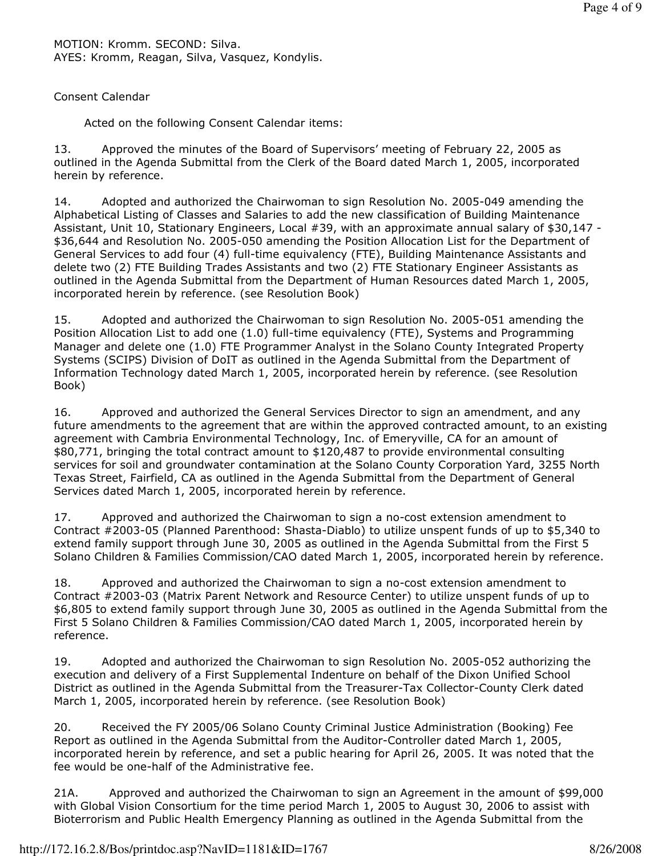MOTION: Kromm. SECOND: Silva. AYES: Kromm, Reagan, Silva, Vasquez, Kondylis.

#### Consent Calendar

Acted on the following Consent Calendar items:

13. Approved the minutes of the Board of Supervisors' meeting of February 22, 2005 as outlined in the Agenda Submittal from the Clerk of the Board dated March 1, 2005, incorporated herein by reference.

14. Adopted and authorized the Chairwoman to sign Resolution No. 2005-049 amending the Alphabetical Listing of Classes and Salaries to add the new classification of Building Maintenance Assistant, Unit 10, Stationary Engineers, Local #39, with an approximate annual salary of \$30,147 -\$36,644 and Resolution No. 2005-050 amending the Position Allocation List for the Department of General Services to add four (4) full-time equivalency (FTE), Building Maintenance Assistants and delete two (2) FTE Building Trades Assistants and two (2) FTE Stationary Engineer Assistants as outlined in the Agenda Submittal from the Department of Human Resources dated March 1, 2005, incorporated herein by reference. (see Resolution Book)

15. Adopted and authorized the Chairwoman to sign Resolution No. 2005-051 amending the Position Allocation List to add one (1.0) full-time equivalency (FTE), Systems and Programming Manager and delete one (1.0) FTE Programmer Analyst in the Solano County Integrated Property Systems (SCIPS) Division of DoIT as outlined in the Agenda Submittal from the Department of Information Technology dated March 1, 2005, incorporated herein by reference. (see Resolution Book)

16. Approved and authorized the General Services Director to sign an amendment, and any future amendments to the agreement that are within the approved contracted amount, to an existing agreement with Cambria Environmental Technology, Inc. of Emeryville, CA for an amount of \$80,771, bringing the total contract amount to \$120,487 to provide environmental consulting services for soil and groundwater contamination at the Solano County Corporation Yard, 3255 North Texas Street, Fairfield, CA as outlined in the Agenda Submittal from the Department of General Services dated March 1, 2005, incorporated herein by reference.

17. Approved and authorized the Chairwoman to sign a no-cost extension amendment to Contract #2003-05 (Planned Parenthood: Shasta-Diablo) to utilize unspent funds of up to \$5,340 to extend family support through June 30, 2005 as outlined in the Agenda Submittal from the First 5 Solano Children & Families Commission/CAO dated March 1, 2005, incorporated herein by reference.

18. Approved and authorized the Chairwoman to sign a no-cost extension amendment to Contract #2003-03 (Matrix Parent Network and Resource Center) to utilize unspent funds of up to \$6,805 to extend family support through June 30, 2005 as outlined in the Agenda Submittal from the First 5 Solano Children & Families Commission/CAO dated March 1, 2005, incorporated herein by reference.

19. Adopted and authorized the Chairwoman to sign Resolution No. 2005-052 authorizing the execution and delivery of a First Supplemental Indenture on behalf of the Dixon Unified School District as outlined in the Agenda Submittal from the Treasurer-Tax Collector-County Clerk dated March 1, 2005, incorporated herein by reference. (see Resolution Book)

20. Received the FY 2005/06 Solano County Criminal Justice Administration (Booking) Fee Report as outlined in the Agenda Submittal from the Auditor-Controller dated March 1, 2005, incorporated herein by reference, and set a public hearing for April 26, 2005. It was noted that the fee would be one-half of the Administrative fee.

21A. Approved and authorized the Chairwoman to sign an Agreement in the amount of \$99,000 with Global Vision Consortium for the time period March 1, 2005 to August 30, 2006 to assist with Bioterrorism and Public Health Emergency Planning as outlined in the Agenda Submittal from the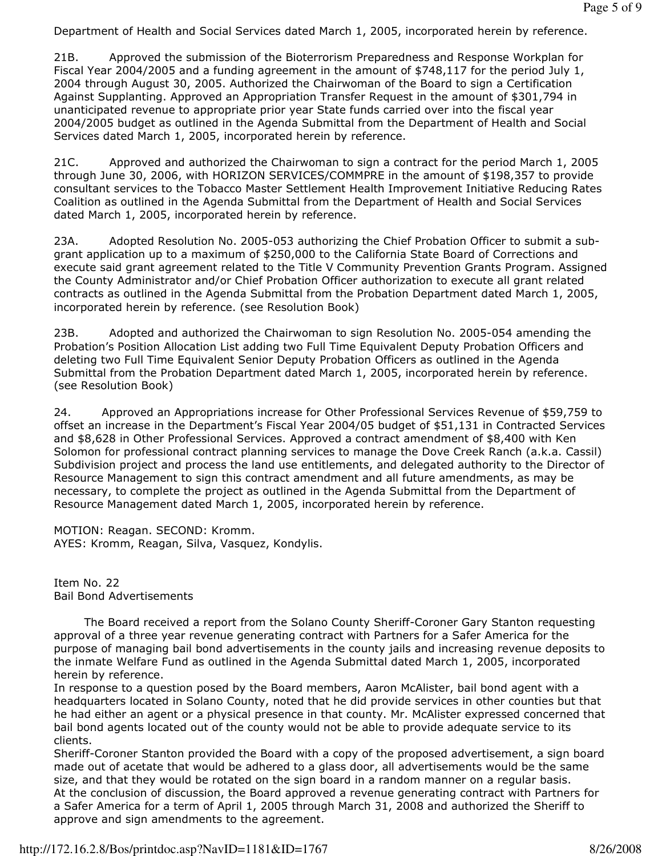Department of Health and Social Services dated March 1, 2005, incorporated herein by reference.

21B. Approved the submission of the Bioterrorism Preparedness and Response Workplan for Fiscal Year 2004/2005 and a funding agreement in the amount of \$748,117 for the period July 1, 2004 through August 30, 2005. Authorized the Chairwoman of the Board to sign a Certification Against Supplanting. Approved an Appropriation Transfer Request in the amount of \$301,794 in unanticipated revenue to appropriate prior year State funds carried over into the fiscal year 2004/2005 budget as outlined in the Agenda Submittal from the Department of Health and Social Services dated March 1, 2005, incorporated herein by reference.

21C. Approved and authorized the Chairwoman to sign a contract for the period March 1, 2005 through June 30, 2006, with HORIZON SERVICES/COMMPRE in the amount of \$198,357 to provide consultant services to the Tobacco Master Settlement Health Improvement Initiative Reducing Rates Coalition as outlined in the Agenda Submittal from the Department of Health and Social Services dated March 1, 2005, incorporated herein by reference.

23A. Adopted Resolution No. 2005-053 authorizing the Chief Probation Officer to submit a subgrant application up to a maximum of \$250,000 to the California State Board of Corrections and execute said grant agreement related to the Title V Community Prevention Grants Program. Assigned the County Administrator and/or Chief Probation Officer authorization to execute all grant related contracts as outlined in the Agenda Submittal from the Probation Department dated March 1, 2005, incorporated herein by reference. (see Resolution Book)

23B. Adopted and authorized the Chairwoman to sign Resolution No. 2005-054 amending the Probation's Position Allocation List adding two Full Time Equivalent Deputy Probation Officers and deleting two Full Time Equivalent Senior Deputy Probation Officers as outlined in the Agenda Submittal from the Probation Department dated March 1, 2005, incorporated herein by reference. (see Resolution Book)

24. Approved an Appropriations increase for Other Professional Services Revenue of \$59,759 to offset an increase in the Department's Fiscal Year 2004/05 budget of \$51,131 in Contracted Services and \$8,628 in Other Professional Services. Approved a contract amendment of \$8,400 with Ken Solomon for professional contract planning services to manage the Dove Creek Ranch (a.k.a. Cassil) Subdivision project and process the land use entitlements, and delegated authority to the Director of Resource Management to sign this contract amendment and all future amendments, as may be necessary, to complete the project as outlined in the Agenda Submittal from the Department of Resource Management dated March 1, 2005, incorporated herein by reference.

MOTION: Reagan. SECOND: Kromm. AYES: Kromm, Reagan, Silva, Vasquez, Kondylis.

Item No. 22 Bail Bond Advertisements

 The Board received a report from the Solano County Sheriff-Coroner Gary Stanton requesting approval of a three year revenue generating contract with Partners for a Safer America for the purpose of managing bail bond advertisements in the county jails and increasing revenue deposits to the inmate Welfare Fund as outlined in the Agenda Submittal dated March 1, 2005, incorporated herein by reference.

In response to a question posed by the Board members, Aaron McAlister, bail bond agent with a headquarters located in Solano County, noted that he did provide services in other counties but that he had either an agent or a physical presence in that county. Mr. McAlister expressed concerned that bail bond agents located out of the county would not be able to provide adequate service to its clients.

Sheriff-Coroner Stanton provided the Board with a copy of the proposed advertisement, a sign board made out of acetate that would be adhered to a glass door, all advertisements would be the same size, and that they would be rotated on the sign board in a random manner on a regular basis. At the conclusion of discussion, the Board approved a revenue generating contract with Partners for a Safer America for a term of April 1, 2005 through March 31, 2008 and authorized the Sheriff to approve and sign amendments to the agreement.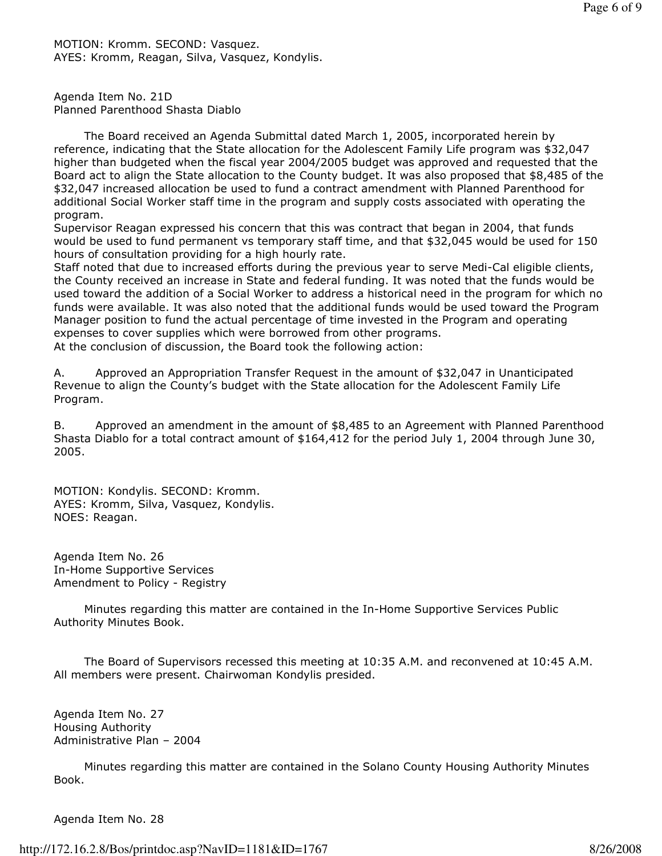MOTION: Kromm. SECOND: Vasquez. AYES: Kromm, Reagan, Silva, Vasquez, Kondylis.

Agenda Item No. 21D Planned Parenthood Shasta Diablo

 The Board received an Agenda Submittal dated March 1, 2005, incorporated herein by reference, indicating that the State allocation for the Adolescent Family Life program was \$32,047 higher than budgeted when the fiscal year 2004/2005 budget was approved and requested that the Board act to align the State allocation to the County budget. It was also proposed that \$8,485 of the \$32,047 increased allocation be used to fund a contract amendment with Planned Parenthood for additional Social Worker staff time in the program and supply costs associated with operating the program.

Supervisor Reagan expressed his concern that this was contract that began in 2004, that funds would be used to fund permanent vs temporary staff time, and that \$32,045 would be used for 150 hours of consultation providing for a high hourly rate.

Staff noted that due to increased efforts during the previous year to serve Medi-Cal eligible clients, the County received an increase in State and federal funding. It was noted that the funds would be used toward the addition of a Social Worker to address a historical need in the program for which no funds were available. It was also noted that the additional funds would be used toward the Program Manager position to fund the actual percentage of time invested in the Program and operating expenses to cover supplies which were borrowed from other programs. At the conclusion of discussion, the Board took the following action:

A. Approved an Appropriation Transfer Request in the amount of \$32,047 in Unanticipated Revenue to align the County's budget with the State allocation for the Adolescent Family Life Program.

B. Approved an amendment in the amount of \$8,485 to an Agreement with Planned Parenthood Shasta Diablo for a total contract amount of \$164,412 for the period July 1, 2004 through June 30, 2005.

MOTION: Kondylis. SECOND: Kromm. AYES: Kromm, Silva, Vasquez, Kondylis. NOES: Reagan.

Agenda Item No. 26 In-Home Supportive Services Amendment to Policy - Registry

 Minutes regarding this matter are contained in the In-Home Supportive Services Public Authority Minutes Book.

 The Board of Supervisors recessed this meeting at 10:35 A.M. and reconvened at 10:45 A.M. All members were present. Chairwoman Kondylis presided.

Agenda Item No. 27 Housing Authority Administrative Plan – 2004

 Minutes regarding this matter are contained in the Solano County Housing Authority Minutes Book.

Agenda Item No. 28

http://172.16.2.8/Bos/printdoc.asp?NavID=1181&ID=1767 8/26/2008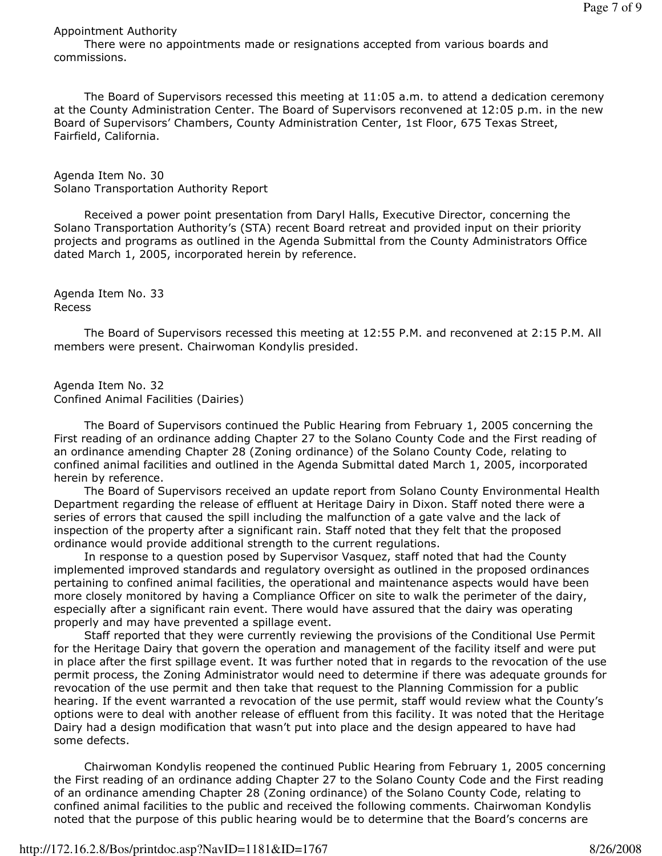## Appointment Authority

 There were no appointments made or resignations accepted from various boards and commissions.

 The Board of Supervisors recessed this meeting at 11:05 a.m. to attend a dedication ceremony at the County Administration Center. The Board of Supervisors reconvened at 12:05 p.m. in the new Board of Supervisors' Chambers, County Administration Center, 1st Floor, 675 Texas Street, Fairfield, California.

Agenda Item No. 30 Solano Transportation Authority Report

 Received a power point presentation from Daryl Halls, Executive Director, concerning the Solano Transportation Authority's (STA) recent Board retreat and provided input on their priority projects and programs as outlined in the Agenda Submittal from the County Administrators Office dated March 1, 2005, incorporated herein by reference.

Agenda Item No. 33 Recess

 The Board of Supervisors recessed this meeting at 12:55 P.M. and reconvened at 2:15 P.M. All members were present. Chairwoman Kondylis presided.

Agenda Item No. 32 Confined Animal Facilities (Dairies)

 The Board of Supervisors continued the Public Hearing from February 1, 2005 concerning the First reading of an ordinance adding Chapter 27 to the Solano County Code and the First reading of an ordinance amending Chapter 28 (Zoning ordinance) of the Solano County Code, relating to confined animal facilities and outlined in the Agenda Submittal dated March 1, 2005, incorporated herein by reference.

 The Board of Supervisors received an update report from Solano County Environmental Health Department regarding the release of effluent at Heritage Dairy in Dixon. Staff noted there were a series of errors that caused the spill including the malfunction of a gate valve and the lack of inspection of the property after a significant rain. Staff noted that they felt that the proposed ordinance would provide additional strength to the current regulations.

 In response to a question posed by Supervisor Vasquez, staff noted that had the County implemented improved standards and regulatory oversight as outlined in the proposed ordinances pertaining to confined animal facilities, the operational and maintenance aspects would have been more closely monitored by having a Compliance Officer on site to walk the perimeter of the dairy, especially after a significant rain event. There would have assured that the dairy was operating properly and may have prevented a spillage event.

 Staff reported that they were currently reviewing the provisions of the Conditional Use Permit for the Heritage Dairy that govern the operation and management of the facility itself and were put in place after the first spillage event. It was further noted that in regards to the revocation of the use permit process, the Zoning Administrator would need to determine if there was adequate grounds for revocation of the use permit and then take that request to the Planning Commission for a public hearing. If the event warranted a revocation of the use permit, staff would review what the County's options were to deal with another release of effluent from this facility. It was noted that the Heritage Dairy had a design modification that wasn't put into place and the design appeared to have had some defects.

 Chairwoman Kondylis reopened the continued Public Hearing from February 1, 2005 concerning the First reading of an ordinance adding Chapter 27 to the Solano County Code and the First reading of an ordinance amending Chapter 28 (Zoning ordinance) of the Solano County Code, relating to confined animal facilities to the public and received the following comments. Chairwoman Kondylis noted that the purpose of this public hearing would be to determine that the Board's concerns are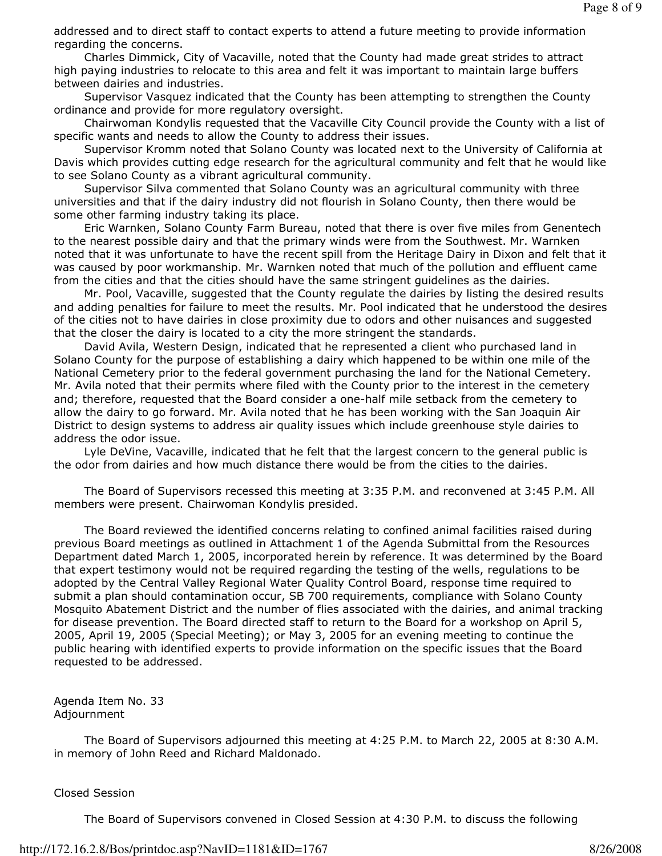addressed and to direct staff to contact experts to attend a future meeting to provide information regarding the concerns.

 Charles Dimmick, City of Vacaville, noted that the County had made great strides to attract high paying industries to relocate to this area and felt it was important to maintain large buffers between dairies and industries.

 Supervisor Vasquez indicated that the County has been attempting to strengthen the County ordinance and provide for more regulatory oversight.

 Chairwoman Kondylis requested that the Vacaville City Council provide the County with a list of specific wants and needs to allow the County to address their issues.

 Supervisor Kromm noted that Solano County was located next to the University of California at Davis which provides cutting edge research for the agricultural community and felt that he would like to see Solano County as a vibrant agricultural community.

 Supervisor Silva commented that Solano County was an agricultural community with three universities and that if the dairy industry did not flourish in Solano County, then there would be some other farming industry taking its place.

 Eric Warnken, Solano County Farm Bureau, noted that there is over five miles from Genentech to the nearest possible dairy and that the primary winds were from the Southwest. Mr. Warnken noted that it was unfortunate to have the recent spill from the Heritage Dairy in Dixon and felt that it was caused by poor workmanship. Mr. Warnken noted that much of the pollution and effluent came from the cities and that the cities should have the same stringent guidelines as the dairies.

 Mr. Pool, Vacaville, suggested that the County regulate the dairies by listing the desired results and adding penalties for failure to meet the results. Mr. Pool indicated that he understood the desires of the cities not to have dairies in close proximity due to odors and other nuisances and suggested that the closer the dairy is located to a city the more stringent the standards.

 David Avila, Western Design, indicated that he represented a client who purchased land in Solano County for the purpose of establishing a dairy which happened to be within one mile of the National Cemetery prior to the federal government purchasing the land for the National Cemetery. Mr. Avila noted that their permits where filed with the County prior to the interest in the cemetery and; therefore, requested that the Board consider a one-half mile setback from the cemetery to allow the dairy to go forward. Mr. Avila noted that he has been working with the San Joaquin Air District to design systems to address air quality issues which include greenhouse style dairies to address the odor issue.

 Lyle DeVine, Vacaville, indicated that he felt that the largest concern to the general public is the odor from dairies and how much distance there would be from the cities to the dairies.

 The Board of Supervisors recessed this meeting at 3:35 P.M. and reconvened at 3:45 P.M. All members were present. Chairwoman Kondylis presided.

 The Board reviewed the identified concerns relating to confined animal facilities raised during previous Board meetings as outlined in Attachment 1 of the Agenda Submittal from the Resources Department dated March 1, 2005, incorporated herein by reference. It was determined by the Board that expert testimony would not be required regarding the testing of the wells, regulations to be adopted by the Central Valley Regional Water Quality Control Board, response time required to submit a plan should contamination occur, SB 700 requirements, compliance with Solano County Mosquito Abatement District and the number of flies associated with the dairies, and animal tracking for disease prevention. The Board directed staff to return to the Board for a workshop on April 5, 2005, April 19, 2005 (Special Meeting); or May 3, 2005 for an evening meeting to continue the public hearing with identified experts to provide information on the specific issues that the Board requested to be addressed.

Agenda Item No. 33 Adjournment

 The Board of Supervisors adjourned this meeting at 4:25 P.M. to March 22, 2005 at 8:30 A.M. in memory of John Reed and Richard Maldonado.

### Closed Session

The Board of Supervisors convened in Closed Session at 4:30 P.M. to discuss the following